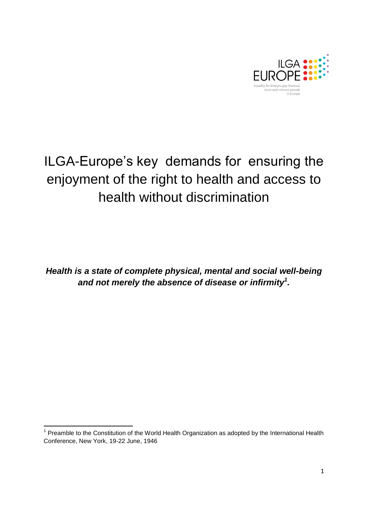

## ILGA-Europe's key demands for ensuring the enjoyment of the right to health and access to health without discrimination

*Health is a state of complete physical, mental and social well-being and not merely the absence of disease or infirmity<sup>1</sup> .*

<sup>————————————————————&</sup>lt;br><sup>1</sup> Preamble to the Constitution of the World Health Organization as adopted by the International Health Conference, New York, 19-22 June, 1946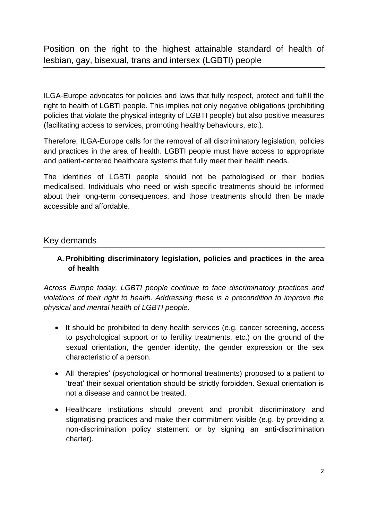Position on the right to the highest attainable standard of health of lesbian, gay, bisexual, trans and intersex (LGBTI) people

ILGA-Europe advocates for policies and laws that fully respect, protect and fulfill the right to health of LGBTI people. This implies not only negative obligations (prohibiting policies that violate the physical integrity of LGBTI people) but also positive measures (facilitating access to services, promoting healthy behaviours, etc.).

Therefore, ILGA-Europe calls for the removal of all discriminatory legislation, policies and practices in the area of health. LGBTI people must have access to appropriate and patient-centered healthcare systems that fully meet their health needs.

The identities of LGBTI people should not be pathologised or their bodies medicalised. Individuals who need or wish specific treatments should be informed about their long-term consequences, and those treatments should then be made accessible and affordable.

## Key demands

**A. Prohibiting discriminatory legislation, policies and practices in the area of health**

*Across Europe today, LGBTI people continue to face discriminatory practices and violations of their right to health. Addressing these is a precondition to improve the physical and mental health of LGBTI people.* 

- It should be prohibited to deny health services (e.g. cancer screening, access to psychological support or to fertility treatments, etc.) on the ground of the sexual orientation, the gender identity, the gender expression or the sex characteristic of a person.
- All 'therapies' (psychological or hormonal treatments) proposed to a patient to 'treat' their sexual orientation should be strictly forbidden. Sexual orientation is not a disease and cannot be treated.
- Healthcare institutions should prevent and prohibit discriminatory and stigmatising practices and make their commitment visible (e.g. by providing a non-discrimination policy statement or by signing an anti-discrimination charter).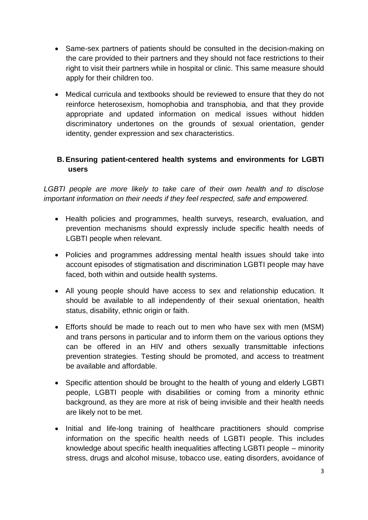- Same-sex partners of patients should be consulted in the decision-making on the care provided to their partners and they should not face restrictions to their right to visit their partners while in hospital or clinic. This same measure should apply for their children too.
- Medical curricula and textbooks should be reviewed to ensure that they do not reinforce heterosexism, homophobia and transphobia, and that they provide appropriate and updated information on medical issues without hidden discriminatory undertones on the grounds of sexual orientation, gender identity, gender expression and sex characteristics.

## **B. Ensuring patient-centered health systems and environments for LGBTI users**

*LGBTI people are more likely to take care of their own health and to disclose important information on their needs if they feel respected, safe and empowered.*

- Health policies and programmes, health surveys, research, evaluation, and prevention mechanisms should expressly include specific health needs of LGBTI people when relevant.
- Policies and programmes addressing mental health issues should take into account episodes of stigmatisation and discrimination LGBTI people may have faced, both within and outside health systems.
- All young people should have access to sex and relationship education. It should be available to all independently of their sexual orientation, health status, disability, ethnic origin or faith.
- Efforts should be made to reach out to men who have sex with men (MSM) and trans persons in particular and to inform them on the various options they can be offered in an HIV and others sexually transmittable infections prevention strategies. Testing should be promoted, and access to treatment be available and affordable.
- Specific attention should be brought to the health of young and elderly LGBTI people, LGBTI people with disabilities or coming from a minority ethnic background, as they are more at risk of being invisible and their health needs are likely not to be met.
- Initial and life-long training of healthcare practitioners should comprise information on the specific health needs of LGBTI people. This includes knowledge about specific health inequalities affecting LGBTI people – minority stress, drugs and alcohol misuse, tobacco use, eating disorders, avoidance of